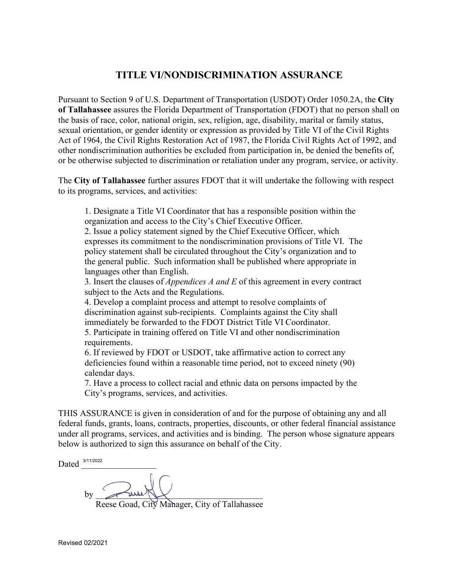## **TITLE VI/NONDISCRIMINATION ASSURANCE**

Pursuant to Section 9 of U.S. Department of Transportation (USDOT) Order 1050.2A, the **City of Tallahassee** assures the Florida Department of Transportation (FDOT) that no person shall on the basis of race, color, national origin, sex, religion, age, disability, marital or family status, sexual orientation, or gender identity or expression as provided by Title VI of the Civil Rights Act of 1964, the Civil Rights Restoration Act of 1987, the Florida Civil Rights Act of 1992, and other nondiscrimination authorities be excluded from participation in, be denied the benefits of, or be otherwise subjected to discrimination or retaliation under any program, service, or activity.

The **City of Tallahassee** further assures FDOT that it will undertake the following with respect to its programs, services, and activities:

1. Designate a Title VI Coordinator that has a responsible position within the organization and access to the City's Chief Executive Officer.

2. Issue a policy statement signed by the Chief Executive Officer, which expresses its commitment to the nondiscrimination provisions of Title VI. The policy statement shall be circulated throughout the City's organization and to the general public. Such information shall be published where appropriate in languages other than English.

3. Insert the clauses of *Appendices A and E* of this agreement in every contract subject to the Acts and the Regulations.

4. Develop a complaint process and attempt to resolve complaints of discrimination against sub-recipients. Complaints against the City shall immediately be forwarded to the FDOT District Title VI Coordinator.

5. Participate in training offered on Title VI and other nondiscrimination requirements.

6. If reviewed by FDOT or USDOT, take affirmative action to correct any deficiencies found within a reasonable time period, not to exceed ninety (90) calendar days.

7. Have a process to collect racial and ethnic data on persons impacted by the City's programs, services, and activities.

THIS ASSURANCE is given in consideration of and for the purpose of obtaining any and all federal funds, grants, loans, contracts, properties, discounts, or other federal financial assistance under all programs, services, and activities and is binding. The person whose signature appears below is authorized to sign this assurance on behalf of the City.

Dated  $\frac{3/11/2022}{2}$ 

by  $\longrightarrow$   $\longrightarrow$ 

Reese Goad, City Manager, City of Tallahassee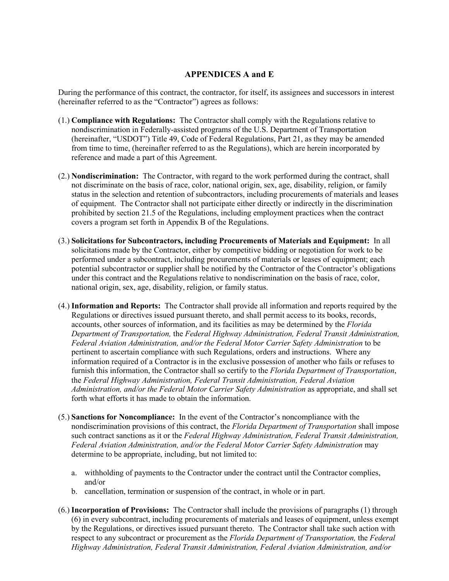## **APPENDICES A and E**

During the performance of this contract, the contractor, for itself, its assignees and successors in interest (hereinafter referred to as the "Contractor") agrees as follows:

- (1.) **Compliance with Regulations:** The Contractor shall comply with the Regulations relative to nondiscrimination in Federally-assisted programs of the U.S. Department of Transportation (hereinafter, "USDOT") Title 49, Code of Federal Regulations, Part 21, as they may be amended from time to time, (hereinafter referred to as the Regulations), which are herein incorporated by reference and made a part of this Agreement.
- (2.) **Nondiscrimination:** The Contractor, with regard to the work performed during the contract, shall not discriminate on the basis of race, color, national origin, sex, age, disability, religion, or family status in the selection and retention of subcontractors, including procurements of materials and leases of equipment. The Contractor shall not participate either directly or indirectly in the discrimination prohibited by section 21.5 of the Regulations, including employment practices when the contract covers a program set forth in Appendix B of the Regulations.
- (3.) **Solicitations for Subcontractors, including Procurements of Materials and Equipment:** In all solicitations made by the Contractor, either by competitive bidding or negotiation for work to be performed under a subcontract, including procurements of materials or leases of equipment; each potential subcontractor or supplier shall be notified by the Contractor of the Contractor's obligations under this contract and the Regulations relative to nondiscrimination on the basis of race, color, national origin, sex, age, disability, religion, or family status.
- (4.) **Information and Reports:** The Contractor shall provide all information and reports required by the Regulations or directives issued pursuant thereto, and shall permit access to its books, records, accounts, other sources of information, and its facilities as may be determined by the *Florida Department of Transportation,* the *Federal Highway Administration, Federal Transit Administration, Federal Aviation Administration, and/or the Federal Motor Carrier Safety Administration* to be pertinent to ascertain compliance with such Regulations, orders and instructions. Where any information required of a Contractor is in the exclusive possession of another who fails or refuses to furnish this information, the Contractor shall so certify to the *Florida Department of Transportation*, the *Federal Highway Administration, Federal Transit Administration, Federal Aviation Administration, and/or the Federal Motor Carrier Safety Administration* as appropriate, and shall set forth what efforts it has made to obtain the information.
- (5.) **Sanctions for Noncompliance:** In the event of the Contractor's noncompliance with the nondiscrimination provisions of this contract, the *Florida Department of Transportation* shall impose such contract sanctions as it or the *Federal Highway Administration, Federal Transit Administration, Federal Aviation Administration, and/or the Federal Motor Carrier Safety Administration* may determine to be appropriate, including, but not limited to:
	- a. withholding of payments to the Contractor under the contract until the Contractor complies, and/or
	- b. cancellation, termination or suspension of the contract, in whole or in part.
- (6.) **Incorporation of Provisions:** The Contractor shall include the provisions of paragraphs (1) through (6) in every subcontract, including procurements of materials and leases of equipment, unless exempt by the Regulations, or directives issued pursuant thereto. The Contractor shall take such action with respect to any subcontract or procurement as the *Florida Department of Transportation,* the *Federal Highway Administration, Federal Transit Administration, Federal Aviation Administration, and/or*